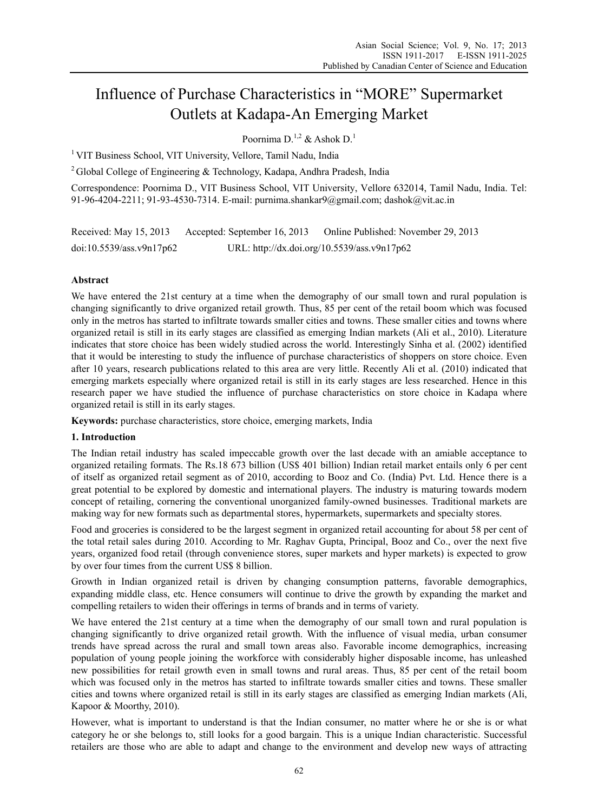# Influence of Purchase Characteristics in "MORE" Supermarket Outlets at Kadapa-An Emerging Market

Poornima D<sup>1,2</sup> & Ashok D<sup>1</sup>

<sup>1</sup> VIT Business School, VIT University, Vellore, Tamil Nadu, India

<sup>2</sup> Global College of Engineering & Technology, Kadapa, Andhra Pradesh, India

Correspondence: Poornima D., VIT Business School, VIT University, Vellore 632014, Tamil Nadu, India. Tel: 91-96-4204-2211; 91-93-4530-7314. E-mail: purnima.shankar9@gmail.com; dashok@vit.ac.in

Received: May 15, 2013 Accepted: September 16, 2013 Online Published: November 29, 2013 doi:10.5539/ass.v9n17p62 URL: http://dx.doi.org/10.5539/ass.v9n17p62

# **Abstract**

We have entered the 21st century at a time when the demography of our small town and rural population is changing significantly to drive organized retail growth. Thus, 85 per cent of the retail boom which was focused only in the metros has started to infiltrate towards smaller cities and towns. These smaller cities and towns where organized retail is still in its early stages are classified as emerging Indian markets (Ali et al., 2010). Literature indicates that store choice has been widely studied across the world. Interestingly Sinha et al. (2002) identified that it would be interesting to study the influence of purchase characteristics of shoppers on store choice. Even after 10 years, research publications related to this area are very little. Recently Ali et al. (2010) indicated that emerging markets especially where organized retail is still in its early stages are less researched. Hence in this research paper we have studied the influence of purchase characteristics on store choice in Kadapa where organized retail is still in its early stages.

**Keywords:** purchase characteristics, store choice, emerging markets, India

# **1. Introduction**

The Indian retail industry has scaled impeccable growth over the last decade with an amiable acceptance to organized retailing formats. The Rs.18 673 billion (US\$ 401 billion) Indian retail market entails only 6 per cent of itself as organized retail segment as of 2010, according to Booz and Co. (India) Pvt. Ltd. Hence there is a great potential to be explored by domestic and international players. The industry is maturing towards modern concept of retailing, cornering the conventional unorganized family-owned businesses. Traditional markets are making way for new formats such as departmental stores, hypermarkets, supermarkets and specialty stores.

Food and groceries is considered to be the largest segment in organized retail accounting for about 58 per cent of the total retail sales during 2010. According to Mr. Raghav Gupta, Principal, Booz and Co., over the next five years, organized food retail (through convenience stores, super markets and hyper markets) is expected to grow by over four times from the current US\$ 8 billion.

Growth in Indian organized retail is driven by changing consumption patterns, favorable demographics, expanding middle class, etc. Hence consumers will continue to drive the growth by expanding the market and compelling retailers to widen their offerings in terms of brands and in terms of variety.

We have entered the 21st century at a time when the demography of our small town and rural population is changing significantly to drive organized retail growth. With the influence of visual media, urban consumer trends have spread across the rural and small town areas also. Favorable income demographics, increasing population of young people joining the workforce with considerably higher disposable income, has unleashed new possibilities for retail growth even in small towns and rural areas. Thus, 85 per cent of the retail boom which was focused only in the metros has started to infiltrate towards smaller cities and towns. These smaller cities and towns where organized retail is still in its early stages are classified as emerging Indian markets (Ali, Kapoor & Moorthy, 2010).

However, what is important to understand is that the Indian consumer, no matter where he or she is or what category he or she belongs to, still looks for a good bargain. This is a unique Indian characteristic. Successful retailers are those who are able to adapt and change to the environment and develop new ways of attracting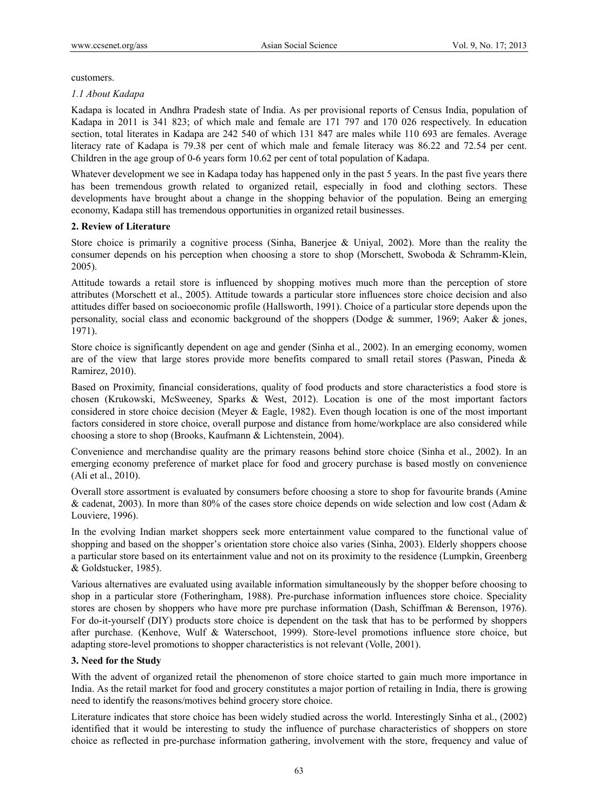customers.

### *1.1 About Kadapa*

Kadapa is located in Andhra Pradesh state of India. As per provisional reports of Census India, population of Kadapa in 2011 is 341 823; of which male and female are 171 797 and 170 026 respectively. In education section, total literates in Kadapa are 242 540 of which 131 847 are males while 110 693 are females. Average literacy rate of Kadapa is 79.38 per cent of which male and female literacy was 86.22 and 72.54 per cent. Children in the age group of 0-6 years form 10.62 per cent of total population of Kadapa.

Whatever development we see in Kadapa today has happened only in the past 5 years. In the past five years there has been tremendous growth related to organized retail, especially in food and clothing sectors. These developments have brought about a change in the shopping behavior of the population. Being an emerging economy, Kadapa still has tremendous opportunities in organized retail businesses.

## **2. Review of Literature**

Store choice is primarily a cognitive process (Sinha, Banerjee & Uniyal, 2002). More than the reality the consumer depends on his perception when choosing a store to shop (Morschett, Swoboda & Schramm-Klein, 2005).

Attitude towards a retail store is influenced by shopping motives much more than the perception of store attributes (Morschett et al., 2005). Attitude towards a particular store influences store choice decision and also attitudes differ based on socioeconomic profile (Hallsworth, 1991). Choice of a particular store depends upon the personality, social class and economic background of the shoppers (Dodge & summer, 1969; Aaker & jones, 1971).

Store choice is significantly dependent on age and gender (Sinha et al., 2002). In an emerging economy, women are of the view that large stores provide more benefits compared to small retail stores (Paswan, Pineda & Ramirez, 2010).

Based on Proximity, financial considerations, quality of food products and store characteristics a food store is chosen (Krukowski, McSweeney, Sparks & West, 2012). Location is one of the most important factors considered in store choice decision (Meyer & Eagle, 1982). Even though location is one of the most important factors considered in store choice, overall purpose and distance from home/workplace are also considered while choosing a store to shop (Brooks, Kaufmann & Lichtenstein, 2004).

Convenience and merchandise quality are the primary reasons behind store choice (Sinha et al., 2002). In an emerging economy preference of market place for food and grocery purchase is based mostly on convenience (Ali et al., 2010).

Overall store assortment is evaluated by consumers before choosing a store to shop for favourite brands (Amine & cadenat, 2003). In more than 80% of the cases store choice depends on wide selection and low cost (Adam & Louviere, 1996).

In the evolving Indian market shoppers seek more entertainment value compared to the functional value of shopping and based on the shopper's orientation store choice also varies (Sinha, 2003). Elderly shoppers choose a particular store based on its entertainment value and not on its proximity to the residence (Lumpkin, Greenberg & Goldstucker, 1985).

Various alternatives are evaluated using available information simultaneously by the shopper before choosing to shop in a particular store (Fotheringham, 1988). Pre-purchase information influences store choice. Speciality stores are chosen by shoppers who have more pre purchase information (Dash, Schiffman & Berenson, 1976). For do-it-yourself (DIY) products store choice is dependent on the task that has to be performed by shoppers after purchase. (Kenhove, Wulf & Waterschoot, 1999). Store-level promotions influence store choice, but adapting store-level promotions to shopper characteristics is not relevant (Volle, 2001).

# **3. Need for the Study**

With the advent of organized retail the phenomenon of store choice started to gain much more importance in India. As the retail market for food and grocery constitutes a major portion of retailing in India, there is growing need to identify the reasons/motives behind grocery store choice.

Literature indicates that store choice has been widely studied across the world. Interestingly Sinha et al., (2002) identified that it would be interesting to study the influence of purchase characteristics of shoppers on store choice as reflected in pre-purchase information gathering, involvement with the store, frequency and value of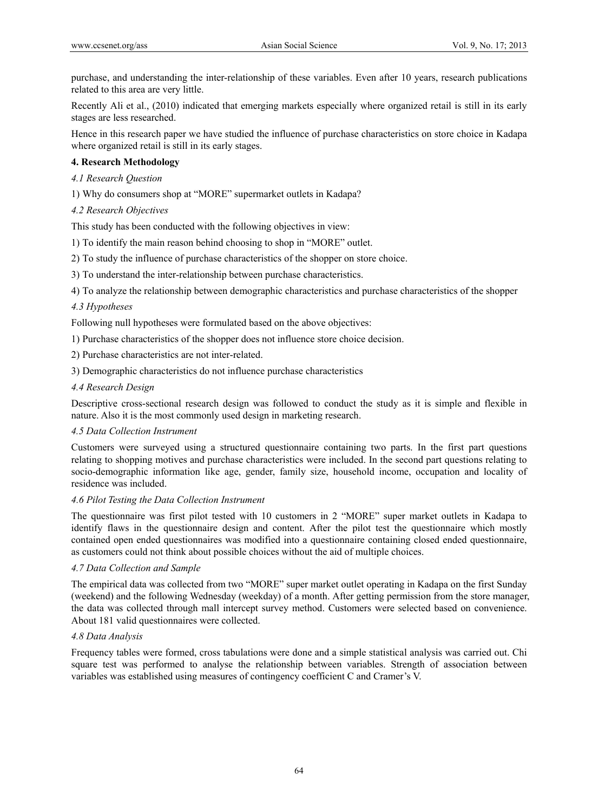purchase, and understanding the inter-relationship of these variables. Even after 10 years, research publications related to this area are very little.

Recently Ali et al., (2010) indicated that emerging markets especially where organized retail is still in its early stages are less researched.

Hence in this research paper we have studied the influence of purchase characteristics on store choice in Kadapa where organized retail is still in its early stages.

## **4. Research Methodology**

*4.1 Research Question* 

1) Why do consumers shop at "MORE" supermarket outlets in Kadapa?

## *4.2 Research Objectives*

This study has been conducted with the following objectives in view:

1) To identify the main reason behind choosing to shop in "MORE" outlet.

2) To study the influence of purchase characteristics of the shopper on store choice.

3) To understand the inter-relationship between purchase characteristics.

4) To analyze the relationship between demographic characteristics and purchase characteristics of the shopper

### *4.3 Hypotheses*

Following null hypotheses were formulated based on the above objectives:

1) Purchase characteristics of the shopper does not influence store choice decision.

2) Purchase characteristics are not inter-related.

3) Demographic characteristics do not influence purchase characteristics

#### *4.4 Research Design*

Descriptive cross-sectional research design was followed to conduct the study as it is simple and flexible in nature. Also it is the most commonly used design in marketing research.

### *4.5 Data Collection Instrument*

Customers were surveyed using a structured questionnaire containing two parts. In the first part questions relating to shopping motives and purchase characteristics were included. In the second part questions relating to socio-demographic information like age, gender, family size, household income, occupation and locality of residence was included.

### *4.6 Pilot Testing the Data Collection Instrument*

The questionnaire was first pilot tested with 10 customers in 2 "MORE" super market outlets in Kadapa to identify flaws in the questionnaire design and content. After the pilot test the questionnaire which mostly contained open ended questionnaires was modified into a questionnaire containing closed ended questionnaire, as customers could not think about possible choices without the aid of multiple choices.

### *4.7 Data Collection and Sample*

The empirical data was collected from two "MORE" super market outlet operating in Kadapa on the first Sunday (weekend) and the following Wednesday (weekday) of a month. After getting permission from the store manager, the data was collected through mall intercept survey method. Customers were selected based on convenience. About 181 valid questionnaires were collected.

### *4.8 Data Analysis*

Frequency tables were formed, cross tabulations were done and a simple statistical analysis was carried out. Chi square test was performed to analyse the relationship between variables. Strength of association between variables was established using measures of contingency coefficient C and Cramer's V.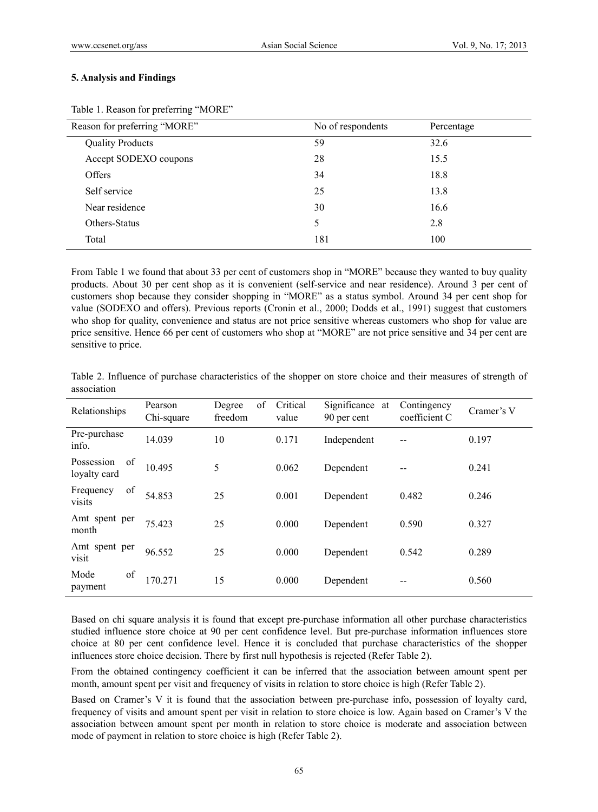#### **5. Analysis and Findings**

Table 1. Reason for preferring "MORE"

From Table 1 we found that about 33 per cent of customers shop in "MORE" because they wanted to buy quality products. About 30 per cent shop as it is convenient (self-service and near residence). Around 3 per cent of customers shop because they consider shopping in "MORE" as a status symbol. Around 34 per cent shop for value (SODEXO and offers). Previous reports (Cronin et al., 2000; Dodds et al., 1991) suggest that customers who shop for quality, convenience and status are not price sensitive whereas customers who shop for value are price sensitive. Hence 66 per cent of customers who shop at "MORE" are not price sensitive and 34 per cent are sensitive to price.

|             |  | Table 2. Influence of purchase characteristics of the shopper on store choice and their measures of strength of |  |  |  |  |  |  |
|-------------|--|-----------------------------------------------------------------------------------------------------------------|--|--|--|--|--|--|
| association |  |                                                                                                                 |  |  |  |  |  |  |

| Relationships                    | Pearson<br>Chi-square | of<br>Degree<br>freedom | Critical<br>value | Significance at<br>90 per cent | Contingency<br>coefficient C | Cramer's V |
|----------------------------------|-----------------------|-------------------------|-------------------|--------------------------------|------------------------------|------------|
| Pre-purchase<br>info.            | 14.039                | 10                      | 0.171             | Independent                    | --                           | 0.197      |
| of<br>Possession<br>loyalty card | 10.495                | 5                       | 0.062             | Dependent                      |                              | 0.241      |
| of<br>Frequency<br>visits        | 54.853                | 25                      | 0.001             | Dependent                      | 0.482                        | 0.246      |
| Amt spent per<br>month           | 75.423                | 25                      | 0.000             | Dependent                      | 0.590                        | 0.327      |
| Amt spent per<br>visit           | 96.552                | 25                      | 0.000             | Dependent                      | 0.542                        | 0.289      |
| of<br>Mode<br>payment            | 170.271               | 15                      | 0.000             | Dependent                      |                              | 0.560      |

Based on chi square analysis it is found that except pre-purchase information all other purchase characteristics studied influence store choice at 90 per cent confidence level. But pre-purchase information influences store choice at 80 per cent confidence level. Hence it is concluded that purchase characteristics of the shopper influences store choice decision. There by first null hypothesis is rejected (Refer Table 2).

From the obtained contingency coefficient it can be inferred that the association between amount spent per month, amount spent per visit and frequency of visits in relation to store choice is high (Refer Table 2).

Based on Cramer's V it is found that the association between pre-purchase info, possession of loyalty card, frequency of visits and amount spent per visit in relation to store choice is low. Again based on Cramer's V the association between amount spent per month in relation to store choice is moderate and association between mode of payment in relation to store choice is high (Refer Table 2).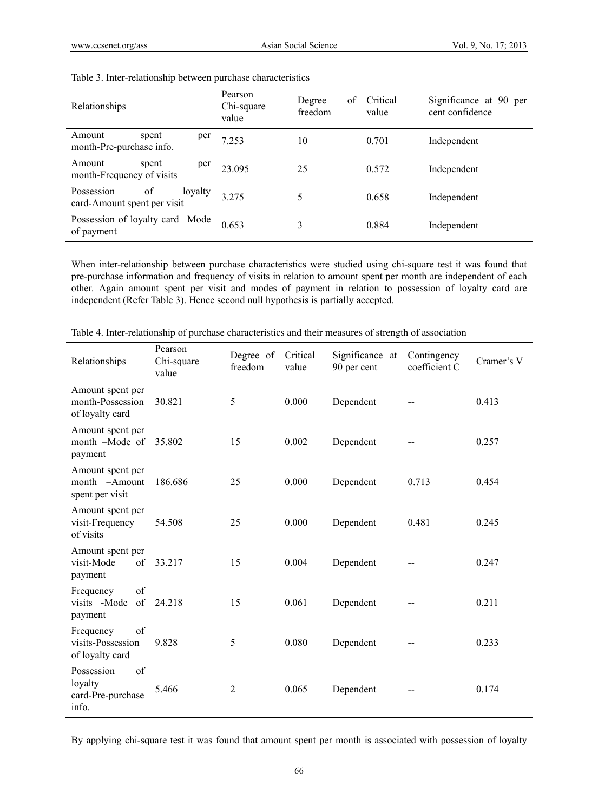| Relationships                                              | Pearson<br>Chi-square<br>value | of<br>Degree<br>freedom | Critical<br>value | Significance at 90 per<br>cent confidence |
|------------------------------------------------------------|--------------------------------|-------------------------|-------------------|-------------------------------------------|
| Amount<br>spent<br>per<br>month-Pre-purchase info.         | 7.253                          | 10                      | 0.701             | Independent                               |
| Amount<br>spent<br>per<br>month-Frequency of visits        | 23 095                         | 25                      | 0.572             | Independent                               |
| of<br>Possession<br>loyalty<br>card-Amount spent per visit | 3.275                          | 5                       | 0.658             | Independent                               |
| Possession of loyalty card -Mode<br>of payment             | 0.653                          | 3                       | 0.884             | Independent                               |

#### Table 3. Inter-relationship between purchase characteristics

When inter-relationship between purchase characteristics were studied using chi-square test it was found that pre-purchase information and frequency of visits in relation to amount spent per month are independent of each other. Again amount spent per visit and modes of payment in relation to possession of loyalty card are independent (Refer Table 3). Hence second null hypothesis is partially accepted.

| Relationships                                             | Pearson<br>Chi-square<br>value | Degree of<br>freedom | Critical<br>value | Significance at<br>90 per cent | Contingency<br>coefficient C | Cramer's V |
|-----------------------------------------------------------|--------------------------------|----------------------|-------------------|--------------------------------|------------------------------|------------|
| Amount spent per<br>month-Possession<br>of loyalty card   | 30.821                         | 5                    | 0.000             | Dependent                      |                              | 0.413      |
| Amount spent per<br>month -Mode of<br>payment             | 35.802                         | 15                   | 0.002             | Dependent                      |                              | 0.257      |
| Amount spent per<br>month -Amount<br>spent per visit      | 186.686                        | 25                   | 0.000             | Dependent                      | 0.713                        | 0.454      |
| Amount spent per<br>visit-Frequency<br>of visits          | 54.508                         | 25                   | 0.000             | Dependent                      | 0.481                        | 0.245      |
| Amount spent per<br>of<br>visit-Mode<br>payment           | 33.217                         | 15                   | 0.004             | Dependent                      |                              | 0.247      |
| of<br>Frequency<br>of<br>visits -Mode<br>payment          | 24.218                         | 15                   | 0.061             | Dependent                      |                              | 0.211      |
| of<br>Frequency<br>visits-Possession<br>of loyalty card   | 9.828                          | 5                    | 0.080             | Dependent                      |                              | 0.233      |
| Possession<br>of<br>loyalty<br>card-Pre-purchase<br>info. | 5.466                          | $\overline{2}$       | 0.065             | Dependent                      |                              | 0.174      |

Table 4. Inter-relationship of purchase characteristics and their measures of strength of association

By applying chi-square test it was found that amount spent per month is associated with possession of loyalty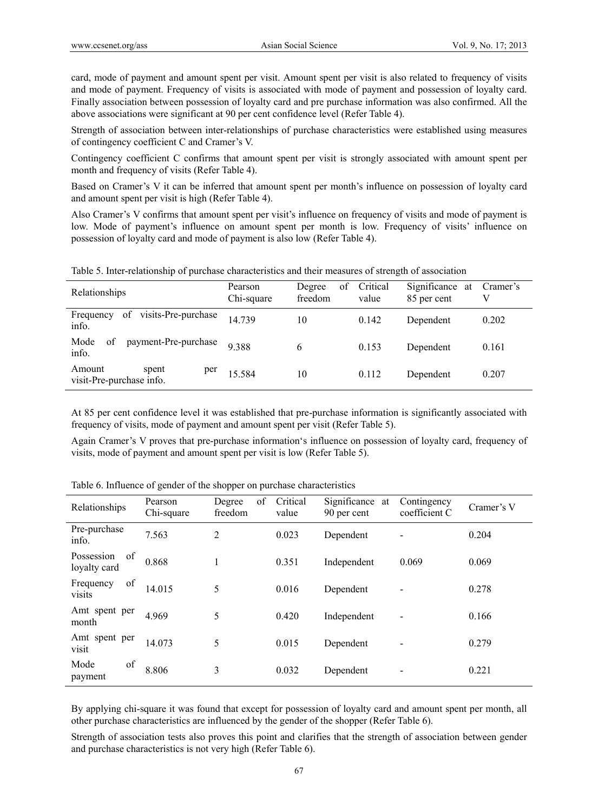card, mode of payment and amount spent per visit. Amount spent per visit is also related to frequency of visits and mode of payment. Frequency of visits is associated with mode of payment and possession of loyalty card. Finally association between possession of loyalty card and pre purchase information was also confirmed. All the above associations were significant at 90 per cent confidence level (Refer Table 4).

Strength of association between inter-relationships of purchase characteristics were established using measures of contingency coefficient C and Cramer's V.

Contingency coefficient C confirms that amount spent per visit is strongly associated with amount spent per month and frequency of visits (Refer Table 4).

Based on Cramer's V it can be inferred that amount spent per month's influence on possession of loyalty card and amount spent per visit is high (Refer Table 4).

Also Cramer's V confirms that amount spent per visit's influence on frequency of visits and mode of payment is low. Mode of payment's influence on amount spent per month is low. Frequency of visits' influence on possession of loyalty card and mode of payment is also low (Refer Table 4).

Table 5. Inter-relationship of purchase characteristics and their measures of strength of association

| Relationships                                      | Pearson<br>Chi-square | Degree<br>οf<br>freedom | Critical<br>value | Significance at<br>85 per cent | Cramer's<br>V |
|----------------------------------------------------|-----------------------|-------------------------|-------------------|--------------------------------|---------------|
| visits-Pre-purchase<br>Frequency<br>of<br>info.    | 14739                 | 10                      | 0.142             | Dependent                      | 0.202         |
| payment-Pre-purchase<br>Mode<br>of<br>info.        | 9.388                 | 6                       | 0.153             | Dependent                      | 0.161         |
| Amount<br>spent<br>per<br>visit-Pre-purchase info. | 15.584                | 10                      | 0.112             | Dependent                      | 0.207         |

At 85 per cent confidence level it was established that pre-purchase information is significantly associated with frequency of visits, mode of payment and amount spent per visit (Refer Table 5).

Again Cramer's V proves that pre-purchase information's influence on possession of loyalty card, frequency of visits, mode of payment and amount spent per visit is low (Refer Table 5).

| Relationships                    | Pearson<br>Chi-square | of<br>Degree<br>freedom | Critical<br>value | Significance at<br>90 per cent | Contingency<br>coefficient C | Cramer's V |
|----------------------------------|-----------------------|-------------------------|-------------------|--------------------------------|------------------------------|------------|
| Pre-purchase<br>info.            | 7.563                 | 2                       | 0.023             | Dependent                      |                              | 0.204      |
| of<br>Possession<br>loyalty card | 0.868                 |                         | 0.351             | Independent                    | 0.069                        | 0.069      |
| of<br>Frequency<br>visits        | 14.015                | 5                       | 0.016             | Dependent                      |                              | 0.278      |
| Amt spent per<br>month           | 4.969                 | 5                       | 0.420             | Independent                    |                              | 0.166      |
| Amt spent per<br>visit           | 14.073                | 5                       | 0.015             | Dependent                      |                              | 0.279      |
| of<br>Mode<br>payment            | 8.806                 | 3                       | 0.032             | Dependent                      |                              | 0.221      |

Table 6. Influence of gender of the shopper on purchase characteristics

By applying chi-square it was found that except for possession of loyalty card and amount spent per month, all other purchase characteristics are influenced by the gender of the shopper (Refer Table 6).

Strength of association tests also proves this point and clarifies that the strength of association between gender and purchase characteristics is not very high (Refer Table 6).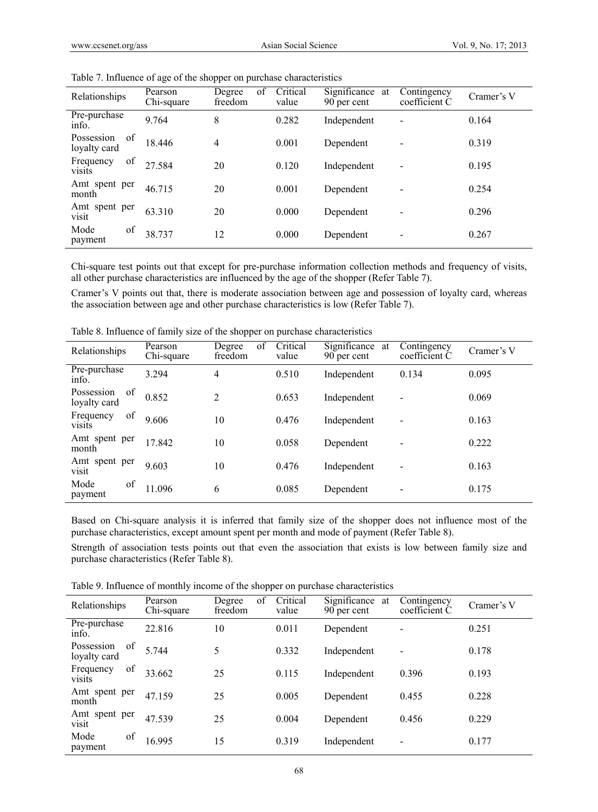| Relationships                    | Pearson<br>Chi-square | of<br>Degree<br>freedom | Critical<br>value | Significance at<br>90 per cent | Contingency<br>coefficient C | Cramer's V |
|----------------------------------|-----------------------|-------------------------|-------------------|--------------------------------|------------------------------|------------|
| Pre-purchase<br>info.            | 9.764                 | 8                       | 0.282             | Independent                    | -                            | 0.164      |
| of<br>Possession<br>loyalty card | 18.446                | 4                       | 0.001             | Dependent                      |                              | 0.319      |
| of<br>Frequency<br><b>visits</b> | 27.584                | 20                      | 0.120             | Independent                    |                              | 0.195      |
| Amt spent per<br>month           | 46.715                | 20                      | 0.001             | Dependent                      |                              | 0.254      |
| Amt spent per<br>visit           | 63.310                | 20                      | 0.000             | Dependent                      |                              | 0.296      |
| of<br>Mode<br>payment            | 38.737                | 12                      | 0.000             | Dependent                      |                              | 0.267      |

Table 7. Influence of age of the shopper on purchase characteristics

Chi-square test points out that except for pre-purchase information collection methods and frequency of visits, all other purchase characteristics are influenced by the age of the shopper (Refer Table 7).

Cramer's V points out that, there is moderate association between age and possession of loyalty card, whereas the association between age and other purchase characteristics is low (Refer Table 7).

| Relationships                    | Pearson<br>Chi-square | of<br>Degree<br>freedom | Critical<br>value | Significance<br>at<br>90 per cent | Contingency<br>coefficient C | Cramer's V |
|----------------------------------|-----------------------|-------------------------|-------------------|-----------------------------------|------------------------------|------------|
| Pre-purchase<br>info.            | 3.294                 | 4                       | 0.510             | Independent                       | 0.134                        | 0.095      |
| Possession<br>of<br>loyalty card | 0.852                 | 2                       | 0.653             | Independent                       | $\overline{\phantom{a}}$     | 0.069      |
| of<br>Frequency<br>visits        | 9.606                 | 10                      | 0.476             | Independent                       | $\overline{\phantom{a}}$     | 0.163      |
| Amt spent per<br>month           | 17.842                | 10                      | 0.058             | Dependent                         |                              | 0.222      |
| Amt spent per<br>visit           | 9.603                 | 10                      | 0.476             | Independent                       | $\overline{\phantom{a}}$     | 0.163      |
| of<br>Mode<br>payment            | 11.096                | 6                       | 0.085             | Dependent                         | $\overline{\phantom{a}}$     | 0.175      |

Table 8. Influence of family size of the shopper on purchase characteristics

Based on Chi-square analysis it is inferred that family size of the shopper does not influence most of the purchase characteristics, except amount spent per month and mode of payment (Refer Table 8).

Strength of association tests points out that even the association that exists is low between family size and purchase characteristics (Refer Table 8).

Table 9. Influence of monthly income of the shopper on purchase characteristics

| Relationships                    | Pearson<br>Chi-square | of<br>Degree<br>freedom | Critical<br>value | Significance at<br>90 per cent | Contingency<br>coefficient C | Cramer's V |
|----------------------------------|-----------------------|-------------------------|-------------------|--------------------------------|------------------------------|------------|
| Pre-purchase<br>info.            | 22.816                | 10                      | 0.011             | Dependent                      | ٠                            | 0.251      |
| Possession<br>of<br>loyalty card | 5.744                 | 5                       | 0.332             | Independent                    | $\overline{\phantom{a}}$     | 0.178      |
| of<br>Frequency<br>visits        | 33.662                | 25                      | 0.115             | Independent                    | 0.396                        | 0.193      |
| Amt spent per<br>month           | 47.159                | 25                      | 0.005             | Dependent                      | 0.455                        | 0.228      |
| Amt spent per<br>visit           | 47.539                | 25                      | 0.004             | Dependent                      | 0.456                        | 0.229      |
| of<br>Mode<br>payment            | 16.995                | 15                      | 0.319             | Independent                    | $\overline{\phantom{a}}$     | 0.177      |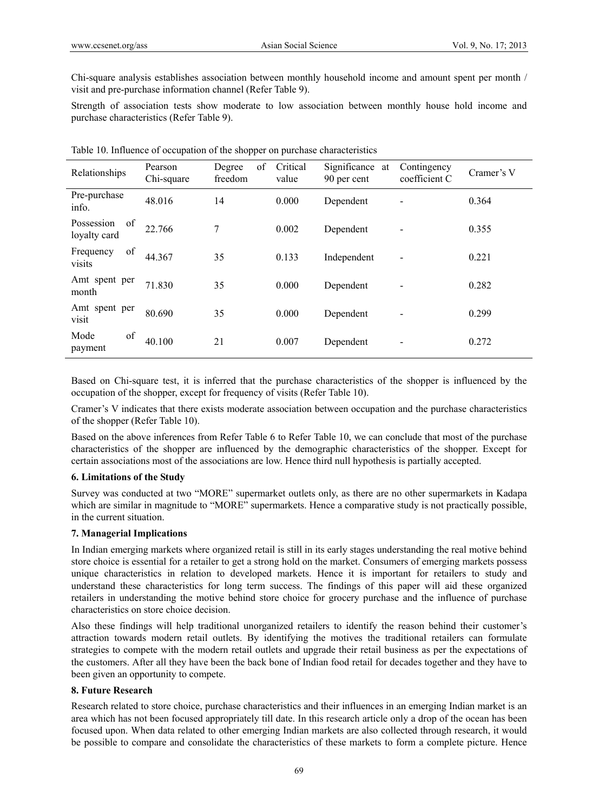Chi-square analysis establishes association between monthly household income and amount spent per month / visit and pre-purchase information channel (Refer Table 9).

Strength of association tests show moderate to low association between monthly house hold income and purchase characteristics (Refer Table 9).

| Relationships                    | Pearson<br>Chi-square | of<br>Degree<br>freedom | Critical<br>value | Significance at<br>90 per cent | Contingency<br>coefficient C | Cramer's V |
|----------------------------------|-----------------------|-------------------------|-------------------|--------------------------------|------------------------------|------------|
| Pre-purchase<br>info.            | 48.016                | 14                      | 0.000             | Dependent                      |                              | 0.364      |
| of<br>Possession<br>loyalty card | 22.766                | 7                       | 0.002             | Dependent                      |                              | 0.355      |
| of<br>Frequency<br>visits        | 44.367                | 35                      | 0.133             | Independent                    |                              | 0.221      |
| Amt spent per<br>month           | 71.830                | 35                      | 0.000             | Dependent                      |                              | 0.282      |
| Amt spent per<br>visit           | 80.690                | 35                      | 0.000             | Dependent                      |                              | 0.299      |
| of<br>Mode<br>payment            | 40.100                | 21                      | 0.007             | Dependent                      |                              | 0.272      |

|  |  |  |  |  |  | Table 10. Influence of occupation of the shopper on purchase characteristics |
|--|--|--|--|--|--|------------------------------------------------------------------------------|
|--|--|--|--|--|--|------------------------------------------------------------------------------|

Based on Chi-square test, it is inferred that the purchase characteristics of the shopper is influenced by the occupation of the shopper, except for frequency of visits (Refer Table 10).

Cramer's V indicates that there exists moderate association between occupation and the purchase characteristics of the shopper (Refer Table 10).

Based on the above inferences from Refer Table 6 to Refer Table 10, we can conclude that most of the purchase characteristics of the shopper are influenced by the demographic characteristics of the shopper. Except for certain associations most of the associations are low. Hence third null hypothesis is partially accepted.

### **6. Limitations of the Study**

Survey was conducted at two "MORE" supermarket outlets only, as there are no other supermarkets in Kadapa which are similar in magnitude to "MORE" supermarkets. Hence a comparative study is not practically possible, in the current situation.

### **7. Managerial Implications**

In Indian emerging markets where organized retail is still in its early stages understanding the real motive behind store choice is essential for a retailer to get a strong hold on the market. Consumers of emerging markets possess unique characteristics in relation to developed markets. Hence it is important for retailers to study and understand these characteristics for long term success. The findings of this paper will aid these organized retailers in understanding the motive behind store choice for grocery purchase and the influence of purchase characteristics on store choice decision.

Also these findings will help traditional unorganized retailers to identify the reason behind their customer's attraction towards modern retail outlets. By identifying the motives the traditional retailers can formulate strategies to compete with the modern retail outlets and upgrade their retail business as per the expectations of the customers. After all they have been the back bone of Indian food retail for decades together and they have to been given an opportunity to compete.

### **8. Future Research**

Research related to store choice, purchase characteristics and their influences in an emerging Indian market is an area which has not been focused appropriately till date. In this research article only a drop of the ocean has been focused upon. When data related to other emerging Indian markets are also collected through research, it would be possible to compare and consolidate the characteristics of these markets to form a complete picture. Hence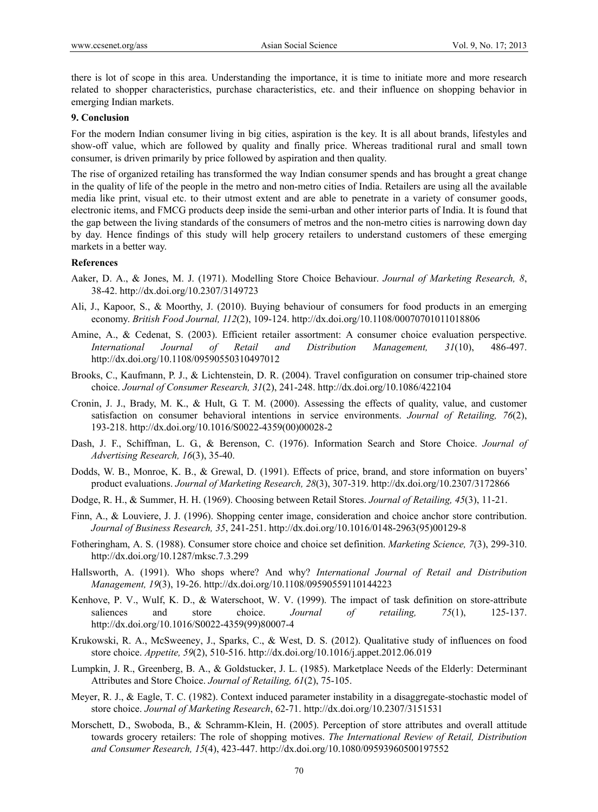there is lot of scope in this area. Understanding the importance, it is time to initiate more and more research related to shopper characteristics, purchase characteristics, etc. and their influence on shopping behavior in emerging Indian markets.

### **9. Conclusion**

For the modern Indian consumer living in big cities, aspiration is the key. It is all about brands, lifestyles and show-off value, which are followed by quality and finally price. Whereas traditional rural and small town consumer, is driven primarily by price followed by aspiration and then quality.

The rise of organized retailing has transformed the way Indian consumer spends and has brought a great change in the quality of life of the people in the metro and non-metro cities of India. Retailers are using all the available media like print, visual etc. to their utmost extent and are able to penetrate in a variety of consumer goods, electronic items, and FMCG products deep inside the semi-urban and other interior parts of India. It is found that the gap between the living standards of the consumers of metros and the non-metro cities is narrowing down day by day. Hence findings of this study will help grocery retailers to understand customers of these emerging markets in a better way.

#### **References**

- Aaker, D. A., & Jones, M. J. (1971). Modelling Store Choice Behaviour. *Journal of Marketing Research, 8*, 38-42. http://dx.doi.org/10.2307/3149723
- Ali, J., Kapoor, S., & Moorthy, J. (2010). Buying behaviour of consumers for food products in an emerging economy. *British Food Journal, 112*(2), 109-124. http://dx.doi.org/10.1108/00070701011018806
- Amine, A., & Cedenat, S. (2003). Efficient retailer assortment: A consumer choice evaluation perspective. *International Journal of Retail and Distribution Management, 31*(10), 486-497. http://dx.doi.org/10.1108/09590550310497012
- Brooks, C., Kaufmann, P. J., & Lichtenstein, D. R. (2004). Travel configuration on consumer trip-chained store choice. *Journal of Consumer Research, 31*(2), 241-248. http://dx.doi.org/10.1086/422104
- Cronin, J. J., Brady, M. K., & Hult, G. T. M. (2000). Assessing the effects of quality, value, and customer satisfaction on consumer behavioral intentions in service environments. *Journal of Retailing, 76*(2), 193-218. http://dx.doi.org/10.1016/S0022-4359(00)00028-2
- Dash, J. F., Schiffman, L. G., & Berenson, C. (1976). Information Search and Store Choice. *Journal of Advertising Research, 16*(3), 35-40.
- Dodds, W. B., Monroe, K. B., & Grewal, D. (1991). Effects of price, brand, and store information on buyers' product evaluations. *Journal of Marketing Research, 28*(3), 307-319. http://dx.doi.org/10.2307/3172866
- Dodge, R. H., & Summer, H. H. (1969). Choosing between Retail Stores. *Journal of Retailing, 45*(3), 11-21.
- Finn, A., & Louviere, J. J. (1996). Shopping center image, consideration and choice anchor store contribution. *Journal of Business Research, 35*, 241-251. http://dx.doi.org/10.1016/0148-2963(95)00129-8
- Fotheringham, A. S. (1988). Consumer store choice and choice set definition. *Marketing Science, 7*(3), 299-310. http://dx.doi.org/10.1287/mksc.7.3.299
- Hallsworth, A. (1991). Who shops where? And why? *International Journal of Retail and Distribution Management, 19*(3), 19-26. http://dx.doi.org/10.1108/09590559110144223
- Kenhove, P. V., Wulf, K. D., & Waterschoot, W. V. (1999). The impact of task definition on store-attribute saliences and store choice. *Journal of retailing, 75*(1), 125-137. http://dx.doi.org/10.1016/S0022-4359(99)80007-4
- Krukowski, R. A., McSweeney, J., Sparks, C., & West, D. S. (2012). Qualitative study of influences on food store choice. *Appetite, 59*(2), 510-516. http://dx.doi.org/10.1016/j.appet.2012.06.019
- Lumpkin, J. R., Greenberg, B. A., & Goldstucker, J. L. (1985). Marketplace Needs of the Elderly: Determinant Attributes and Store Choice. *Journal of Retailing, 61*(2), 75-105.
- Meyer, R. J., & Eagle, T. C. (1982). Context induced parameter instability in a disaggregate-stochastic model of store choice. *Journal of Marketing Research*, 62-71. http://dx.doi.org/10.2307/3151531
- Morschett, D., Swoboda, B., & Schramm-Klein, H. (2005). Perception of store attributes and overall attitude towards grocery retailers: The role of shopping motives. *The International Review of Retail, Distribution and Consumer Research, 15*(4), 423-447. http://dx.doi.org/10.1080/09593960500197552